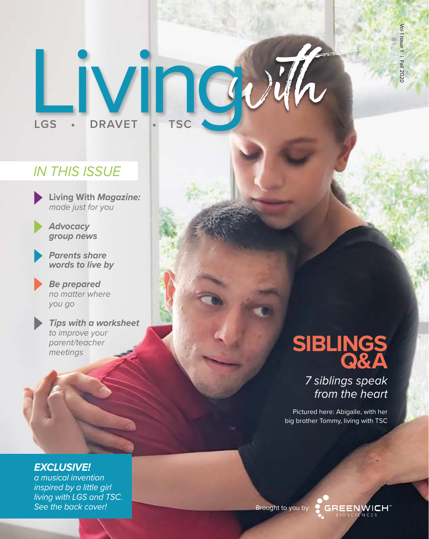# Living **LGS • DRAVET • TSC**

# *IN THIS ISSUE*

**Living With** *Magazine: made just for you*



*Advocacy group news*



*Parents share words to live by* 

*Be prepared no matter where you go* 

*Tips with a worksheet to improve your parent/teacher meetings*

# **SIBLINGS Q&A**

*7 siblings speak from the heart*

Pictured here: Abigaile, with her big brother Tommy, living with TSC

## *EXCLUSIVE!*

*a musical invention inspired by a little girl living with LGS and TSC. See the back cover!*

Brought to you by

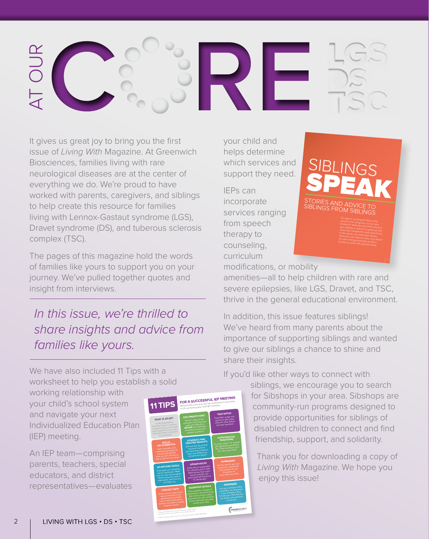

It gives us great joy to bring you the first issue of *Living With* Magazine. At Greenwich Biosciences, families living with rare neurological diseases are at the center of everything we do. We're proud to have worked with parents, caregivers, and siblings to help create this resource for families living with Lennox-Gastaut syndrome (LGS), Dravet syndrome (DS), and tuberous sclerosis complex (TSC).

The pages of this magazine hold the words of families like yours to support you on your journey. We've pulled together quotes and insight from interviews.

# *In this issue, we're thrilled to share insights and advice from families like yours.*

We have also included 11 Tips with a worksheet to help you establish a solid

working relationship with your child's school system and navigate your next Individualized Education Plan (IEP) meeting.

An IEP team—comprising parents, teachers, special educators, and district representatives—evaluates



your child and helps determine which services and support they need.

IEPs can incorporate services ranging from speech therapy to counseling, curriculum



brother or sister with special needs.

modifications, or mobility

amenities—all to help children with rare and severe epilepsies, like LGS, Dravet, and TSC, thrive in the general educational environment.

In addition, this issue features siblings! We've heard from many parents about the importance of supporting siblings and wanted to give our siblings a chance to shine and share their insights.

If you'd like other ways to connect with

siblings, we encourage you to search for Sibshops in your area. Sibshops are community-run programs designed to provide opportunities for siblings of disabled children to connect and find friendship, support, and solidarity.

Thank you for downloading a copy of *Living With* Magazine. We hope you enjoy this issue!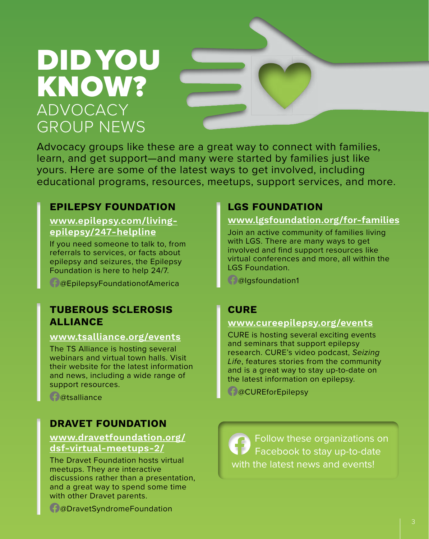# DID YOU KNOW? ADVOCACY GROUP NEWS

Advocacy groups like these are a great way to connect with families, learn, and get support—and many were started by families just like yours. Here are some of the latest ways to get involved, including educational programs, resources, meetups, support services, and more.

# **EPILEPSY FOUNDATION**

**www.[epilepsy.com/living](http://epilepsy.com/living-epilepsy/247-helpline)[epilepsy/247-helpline](http://epilepsy.com/living-epilepsy/247-helpline)**

If you need someone to talk to, from referrals to services, or facts about epilepsy and seizures, the Epilepsy Foundation is here to help 24/7.

@EpilepsyFoundationofAmerica

## **TUBEROUS SCLEROSIS ALLIANCE**

#### **www[.tsalliance.org/events](http://tsalliance.org/events)**

The TS Alliance is hosting several webinars and virtual town halls. Visit their website for the latest information and news, including a wide range of support resources.

**C**@tsalliance

## **DRAVET FOUNDATION**

#### **[www.dravetfoundation.org/](https://www.dravetfoundation.org/dsf-virtual-meetups-2/) [dsf-virtual-meetups-2/](https://www.dravetfoundation.org/dsf-virtual-meetups-2/)**

The Dravet Foundation hosts virtual meetups. They are interactive discussions rather than a presentation, and a great way to spend some time with other Dravet parents.

**LGS FOUNDATION**

#### **www[.lgsfoundation.org/for-families](http://lgsfoundation.org/for-families)**

Join an active community of families living with LGS. There are many ways to get involved and find support resources like virtual conferences and more, all within the LGS Foundation.

@lgsfoundation1

# **CURE**

### **www[.cureepilepsy.org/events](http://tsalliance.org/events)**

CURE is hosting several exciting events and seminars that support epilepsy research. CURE's video podcast, *Seizing Life*, features stories from the community and is a great way to stay up-to-date on the latest information on epilepsy.

**@CUREforEpilepsy** 

 Follow these organizations on Facebook to stay up-to-date with the latest news and events!

@DravetSyndromeFoundation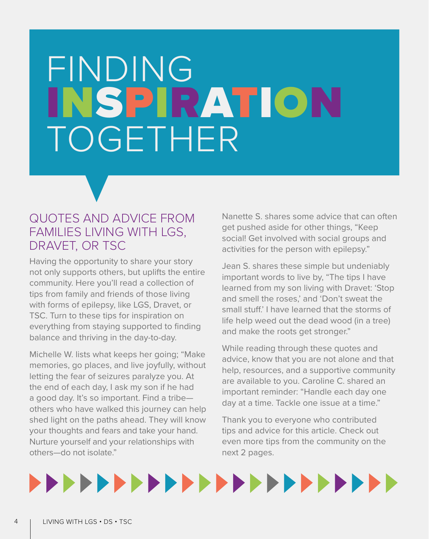# FINDING INSPIRATION TOGETHER

# QUOTES AND ADVICE FROM FAMILIES LIVING WITH LGS, DRAVET, OR TSC

Having the opportunity to share your story not only supports others, but uplifts the entire community. Here you'll read a collection of tips from family and friends of those living with forms of epilepsy, like LGS, Dravet, or TSC. Turn to these tips for inspiration on everything from staying supported to finding balance and thriving in the day-to-day.

Michelle W. lists what keeps her going; "Make memories, go places, and live joyfully, without letting the fear of seizures paralyze you. At the end of each day, I ask my son if he had a good day. It's so important. Find a tribe others who have walked this journey can help shed light on the paths ahead. They will know your thoughts and fears and take your hand. Nurture yourself and your relationships with others—do not isolate."

Nanette S. shares some advice that can often get pushed aside for other things, "Keep social! Get involved with social groups and activities for the person with epilepsy."

Jean S. shares these simple but undeniably important words to live by, "The tips I have learned from my son living with Dravet: 'Stop and smell the roses,' and 'Don't sweat the small stuff.' I have learned that the storms of life help weed out the dead wood (in a tree) and make the roots get stronger."

While reading through these quotes and advice, know that you are not alone and that help, resources, and a supportive community are available to you. Caroline C. shared an important reminder: "Handle each day one day at a time. Tackle one issue at a time."

Thank you to everyone who contributed tips and advice for this article. Check out even more tips from the community on the next 2 pages.



4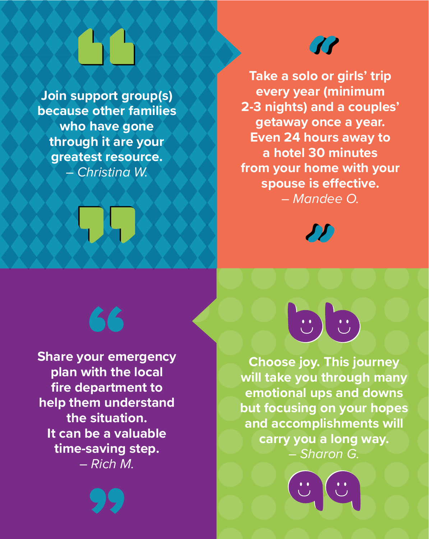# $\alpha$

**Join support group(s) because other families who have gone through it are your greatest resource.**  – *Christina W.*

**KO** 

**Take a solo or girls' trip every year (minimum 2-3 nights) and a couples' getaway once a year. Even 24 hours away to a hotel 30 minutes from your home with your spouse is effective.**  – *Mandee O.* 



**Share your emergency plan with the local fire department to help them understand the situation. It can be a valuable time-saving step.**  – *Rich M.*

66

"



**Choose joy. This journey will take you through many emotional ups and downs but focusing on your hopes and accomplishments will carry you a long way.**  – *Sharon G.* 

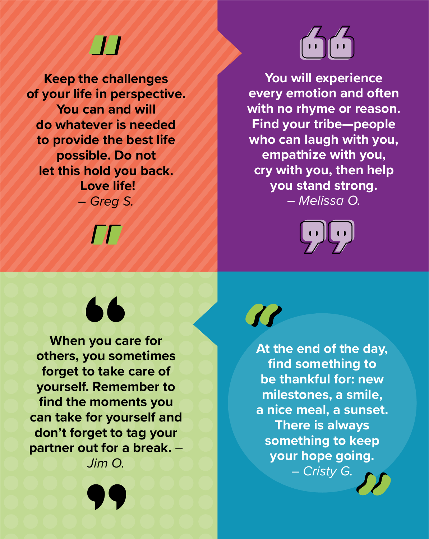# "

**Keep the challenges of your life in perspective. You can and will do whatever is needed to provide the best life possible. Do not let this hold you back. Love life!**  – *Greg S.* 

"

66



**You will experience every emotion and often with no rhyme or reason. Find your tribe—people who can laugh with you, empathize with you, cry with you, then help you stand strong.**  – *Melissa O.* 



**When you care for others, you sometimes forget to take care of yourself. Remember to find the moments you can take for yourself and don't forget to tag your partner out for a break.** – *Jim O.* 

"



 $\overline{\mathcal{U}}$ **At the end of the day, find something to be thankful for: new milestones, a smile, a nice meal, a sunset. There is always something to keep your hope going.**  – *Cristy G.*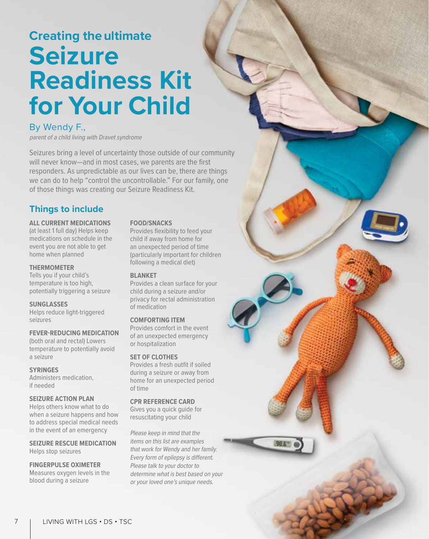# **Creating the ultimate Seizure Readiness Kit for Your Child**

#### By Wendy F.,

parent of a child living with Dravet syndrome

Seizures bring a level of uncertainty those outside of our community will never know—and in most cases, we parents are the first responders. As unpredictable as our lives can be, there are things we can do to help "control the uncontrollable." For our family, one of those things was creating our Seizure Readiness Kit.

#### **Things to include**

#### **ALL CURRENT MEDICATIONS**

(at least 1 full day) Helps keep medications on schedule in the event you are not able to get home when planned

#### **THERMOMETER**

Tells you if your child's temperature is too high, potentially triggering a seizure

#### **SUNGLASSES**

Helps reduce light-triggered seizures

#### **FEVER-REDUCING MEDICATION**

(both oral and rectal) Lowers temperature to potentially avoid a seizure

#### **SYRINGES**

Administers medication, if needed

#### **SEIZURE ACTION PLAN**

Helps others know what to do when a seizure happens and how to address special medical needs in the event of an emergency

**SEIZURE RESCUE MEDICATION** Helps stop seizures

#### **FINGERPULSE OXIMETER**

Measures oxygen levels in the blood during a seizure

#### **FOOD/SNACKS**

Provides flexibility to feed your child if away from home for an unexpected period of time (particularly important for children following a medical diet)

#### **BLANKET**

Provides a clean surface for your child during a seizure and/or privacy for rectal administration of medication

#### **COMFORTING ITEM**

Provides comfort in the event of an unexpected emergency or hospitalization

#### **SET OF CLOTHES**

Provides a fresh outfit if soiled during a seizure or away from home for an unexpected period of time

#### **CPR REFERENCE CARD**

Gives you a quick guide for resuscitating your child

Please keep in mind that the items on this list are examples that work for Wendy and her family. Every form of epilepsy is different. Please talk to your doctor to determine what is best based on your or your loved one's unique needs.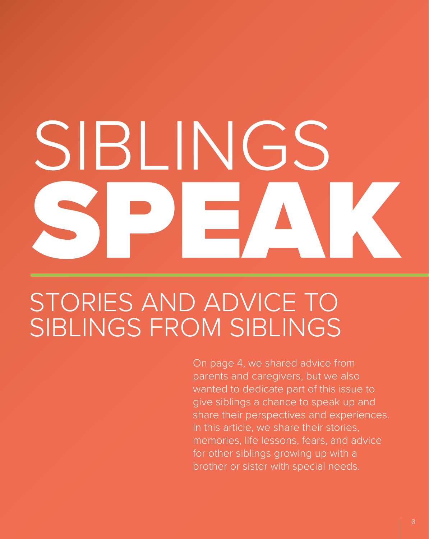# SIBLINGS SPEAK

# STORIES AND ADVICE TO SIBLINGS FROM SIBLINGS

On page 4, we shared advice from parents and caregivers, but we also wanted to dedicate part of this issue to give siblings a chance to speak up and share their perspectives and experiences. In this article, we share their stories, memories, life lessons, fears, and advice for other siblings growing up with a brother or sister with special needs.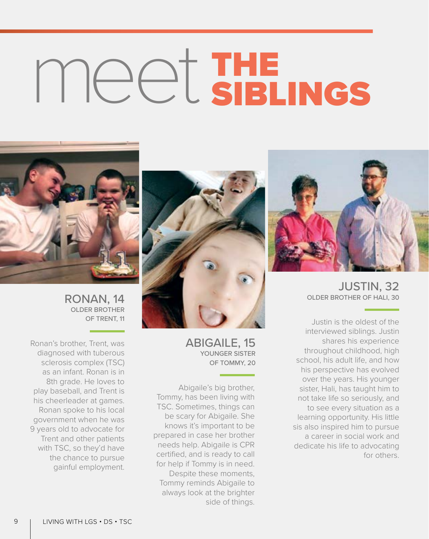# meet THE SIBLINGS



JUSTIN, 32 OLDER BROTHER OF HALI, 30

Justin is the oldest of the interviewed siblings. Justin shares his experience throughout childhood, high school, his adult life, and how his perspective has evolved over the years. His younger sister, Hali, has taught him to not take life so seriously, and to see every situation as a learning opportunity. His little sis also inspired him to pursue a career in social work and dedicate his life to advocating for others.



ABIGAILE, 15 YOUNGER SISTER OF TOMMY, 20

Abigaile's big brother, Tommy, has been living with TSC. Sometimes, things can be scary for Abigaile. She knows it's important to be prepared in case her brother needs help. Abigaile is CPR certified, and is ready to call for help if Tommy is in need. Despite these moments, Tommy reminds Abigaile to always look at the brighter side of things.



RONAN, 14 OLDER BROTHER OF TRENT, 11

Ronan's brother, Trent, was diagnosed with tuberous sclerosis complex (TSC) as an infant. Ronan is in 8th grade. He loves to play baseball, and Trent is his cheerleader at games. Ronan spoke to his local government when he was 9 years old to advocate for Trent and other patients with TSC, so they'd have the chance to pursue gainful employment.

9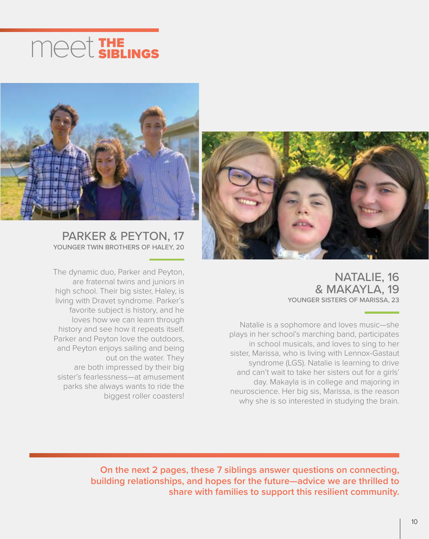

## PARKER & PEYTON, 17 YOUNGER TWIN BROTHERS OF HALEY, 20

The dynamic duo, Parker and Peyton, are fraternal twins and juniors in high school. Their big sister, Haley, is living with Dravet syndrome. Parker's favorite subject is history, and he loves how we can learn through history and see how it repeats itself. Parker and Peyton love the outdoors, and Peyton enjoys sailing and being out on the water. They are both impressed by their big sister's fearlessness—at amusement parks she always wants to ride the biggest roller coasters!



NATALIE, 16 & MAKAYLA, 19 YOUNGER SISTERS OF MARISSA, 23

Natalie is a sophomore and loves music—she plays in her school's marching band, participates in school musicals, and loves to sing to her sister, Marissa, who is living with Lennox-Gastaut syndrome (LGS). Natalie is learning to drive and can't wait to take her sisters out for a girls' day. Makayla is in college and majoring in neuroscience. Her big sis, Marissa, is the reason why she is so interested in studying the brain.

**On the next 2 pages, these 7 siblings answer questions on connecting, building relationships, and hopes for the future—advice we are thrilled to share with families to support this resilient community.**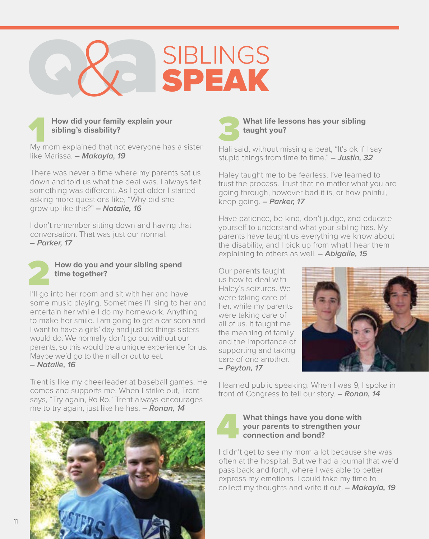



like Marissa. *– Makayla, 19*

There was never a time where my parents sat us down and told us what the deal was. I always felt something was different. As I got older I started asking more questions like, "Why did she grow up like this?" *– Natalie, 16*

I don't remember sitting down and having that conversation. That was just our normal. *– Parker, 17*



# **2** How do you and your sibling spend<br>time together?<br>I'll go into her room and sit with her and have **How do you and your sibling spend time together?**

some music playing. Sometimes I'll sing to her and entertain her while I do my homework. Anything to make her smile. I am going to get a car soon and I want to have a girls' day and just do things sisters would do. We normally don't go out without our parents, so this would be a unique experience for us. Maybe we'd go to the mall or out to eat. *– Natalie, 16*

Trent is like my cheerleader at baseball games. He comes and supports me. When I strike out, Trent says, "Try again, Ro Ro." Trent always encourages me to try again, just like he has. *– Ronan, 14*



#### **What life lessons has your sibling taught you?**

Hali said, without missing a beat, "It's ok if I say stupid things from time to time." *– Justin, 32*

Haley taught me to be fearless. I've learned to trust the process. Trust that no matter what you are going through, however bad it is, or how painful, keep going. *– Parker, 17* 

Have patience, be kind, don't judge, and educate yourself to understand what your sibling has. My parents have taught us everything we know about the disability, and I pick up from what I hear them explaining to others as well. *– Abigaile, 15*

Our parents taught us how to deal with Haley's seizures. We were taking care of her, while my parents were taking care of all of us. It taught me the meaning of family and the importance of supporting and taking care of one another. *– Peyton, 17*



I learned public speaking. When I was 9, I spoke in front of Congress to tell our story. *– Ronan, 14* 



#### **What things have you done with your parents to strengthen your connection and bond?**

I didn't get to see my mom a lot because she was often at the hospital. But we had a journal that we'd pass back and forth, where I was able to better express my emotions. I could take my time to collect my thoughts and write it out. *– Makayla, 19*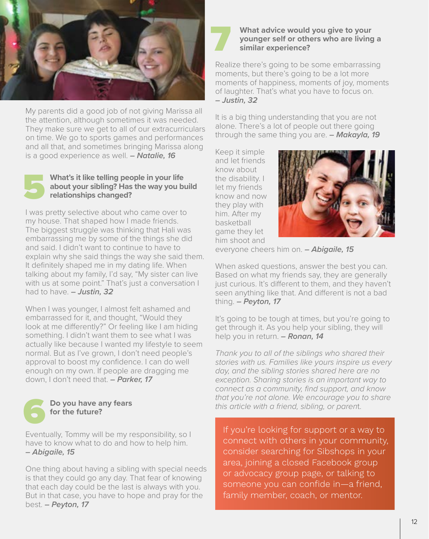

My parents did a good job of not giving Marissa all the attention, although sometimes it was needed. They make sure we get to all of our extracurriculars on time. We go to sports games and performances and all that, and sometimes bringing Marissa along is a good experience as well. *– Natalie, 16*

# 5

#### **What's it like telling people in your life about your sibling? Has the way you build relationships changed?**

I was pretty selective about who came over to my house. That shaped how I made friends. The biggest struggle was thinking that Hali was embarrassing me by some of the things she did and said. I didn't want to continue to have to explain why she said things the way she said them. It definitely shaped me in my dating life. When talking about my family, I'd say, "My sister can live with us at some point." That's just a conversation I had to have. *– Justin, 32*

When I was younger, I almost felt ashamed and embarrassed for it, and thought, "Would they look at me differently?" Or feeling like I am hiding something. I didn't want them to see what I was actually like because I wanted my lifestyle to seem normal. But as I've grown, I don't need people's approval to boost my confidence. I can do well enough on my own. If people are dragging me down, I don't need that. *– Parker, 17*



#### **Do you have any fears for the future?**

Eventually, Tommy will be my responsibility, so I have to know what to do and how to help him. *– Abigaile, 15*

One thing about having a sibling with special needs is that they could go any day. That fear of knowing that each day could be the last is always with you. But in that case, you have to hope and pray for the best. *– Peyton, 17*

#### **What advice would you give to your younger self or others who are living a similar experience?**

Realize there's going to be some embarrassing moments, but there's going to be a lot more moments of happiness, moments of joy, moments of laughter. That's what you have to focus on. *– Justin, 32* 

It is a big thing understanding that you are not alone. There's a lot of people out there going through the same thing you are. *– Makayla, 19* 

Keep it simple and let friends know about the disability. I let my friends know and now they play with him. After my basketball game they let him shoot and



everyone cheers him on. *– Abigaile, 15*

When asked questions, answer the best you can. Based on what my friends say, they are generally just curious. It's different to them, and they haven't seen anything like that. And different is not a bad thing. *– Peyton, 17* 

It's going to be tough at times, but you're going to get through it. As you help your sibling, they will help you in return. *– Ronan, 14* 

*Thank you to all of the siblings who shared their stories with us. Families like yours inspire us every day, and the sibling stories shared here are no exception. Sharing stories is an important way to connect as a community, find support, and know that you're not alone. We encourage you to share this article with a friend, sibling, or paren*t.

If you're looking for support or a way to [connect with others in your community,](https://www.siblingsupport.org/about-sibshops)  consider searching for Sibshops in your area, joining a closed Facebook group or advocacy group page, or talking to someone you can confide in—a friend, family member, coach, or mentor.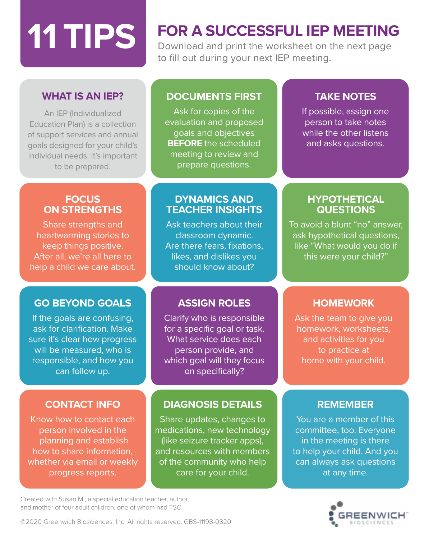# **FOR A SUCCESSFUL IEP MEETING 11 TIPS 120 Nowpload and print the worksheet on the next page**

Download and print the worksheet on the next page to fill out during your next IEP meeting.

# **WHAT IS AN IEP?**

An IEP (Individualized Education Plan) is a collection of support services and annual goals designed for your child's individual needs. It's important to be prepared.

## **DOCUMENTS FIRST**

Ask for copies of the evaluation and proposed goals and objectives **BEFORE** the scheduled meeting to review and prepare questions.

# **TAKE NOTES**

If possible, assign one person to take notes while the other listens and asks questions.

## **FOCUS ON STRENGTHS**

Share strengths and heartwarming stories to keep things positive. After all, we're all here to help a child we care about.

# **GO BEYOND GOALS**

If the goals are confusing, ask for clarification. Make sure it's clear how progress will be measured, who is responsible, and how you can follow up.

# **CONTACT INFO**

Know how to contact each person involved in the planning and establish how to share information, whether via email or weekly progress reports.

## **DYNAMICS AND TEACHER INSIGHTS**

Ask teachers about their classroom dynamic. Are there fears, fixations, likes, and dislikes you should know about?

# **ASSIGN ROLES**

Clarify who is responsible for a specific goal or task. What service does each person provide, and which goal will they focus on specifically?

# **DIAGNOSIS DETAILS**

Share updates, changes to medications, new technology (like seizure tracker apps), and resources with members of the community who help care for your child.

Created with Susan M., a special education teacher, author, and mother of four adult children, one of whom had TSC.

## **HYPOTHETICAL QUESTIONS**

To avoid a blunt "no" answer, ask hypothetical questions, like "What would you do if this were your child?"

# **HOMEWORK**

Ask the team to give you homework, worksheets, and activities for you to practice at home with your child.

## **REMEMBER**

You are a member of this committee, too. Everyone in the meeting is there to help your child. And you can always ask questions at any time.



©2020 Greenwich Biosciences, Inc. All rights reserved. GBS-11198-0820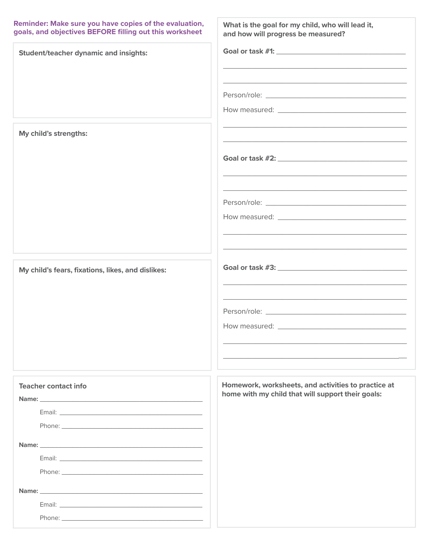#### Reminder: Make sure you have copies of the evaluation, goals, and objectives BEFORE filling out this worksheet

| goals, and objectives BEFORE filling out this worksheet | and how will progress be measured?                                                                                                                                                                                                             |
|---------------------------------------------------------|------------------------------------------------------------------------------------------------------------------------------------------------------------------------------------------------------------------------------------------------|
| <b>Student/teacher dynamic and insights:</b>            | Goal or task #1: New York 2014 19: New York 2014<br>and the control of the control of the control of the control of the control of the control of the control of the                                                                           |
|                                                         | <u> 1989 - Johann Stoff, deutscher Stoff, der Stoff, der Stoff, der Stoff, der Stoff, der Stoff, der Stoff, der S</u>                                                                                                                          |
| My child's strengths:                                   | <u> 1989 - Johann John Stone, Amerikaansk politiker (* 1989)</u><br>and the control of the control of the control of the control of the control of the control of the control of the                                                           |
|                                                         | <u> 1989 - Johann John Stone, market fan de ferske fan de ferske fan de ferske fan de ferske fan de ferske fan d</u><br><u> 1980 - Johann Barn, fransk politik (d. 1980)</u><br><u> 1989 - Johann Stoff, amerikansk politiker (d. 1989)</u>    |
| My child's fears, fixations, likes, and dislikes:       | <u> 1989 - Johann John Stone, mension berkenaar di sebagai personal di sebagai personal di sebagai personal di se</u><br><u> 1989 - Johann Stoff, deutscher Stoff, der Stoff, der Stoff, der Stoff, der Stoff, der Stoff, der Stoff, der S</u> |
| <b>Teacher contact info</b>                             | Homework, worksheets, and activities to practice at<br>home with my child that will support their goals:                                                                                                                                       |
|                                                         |                                                                                                                                                                                                                                                |

What is the goal for my child, who will lead it,